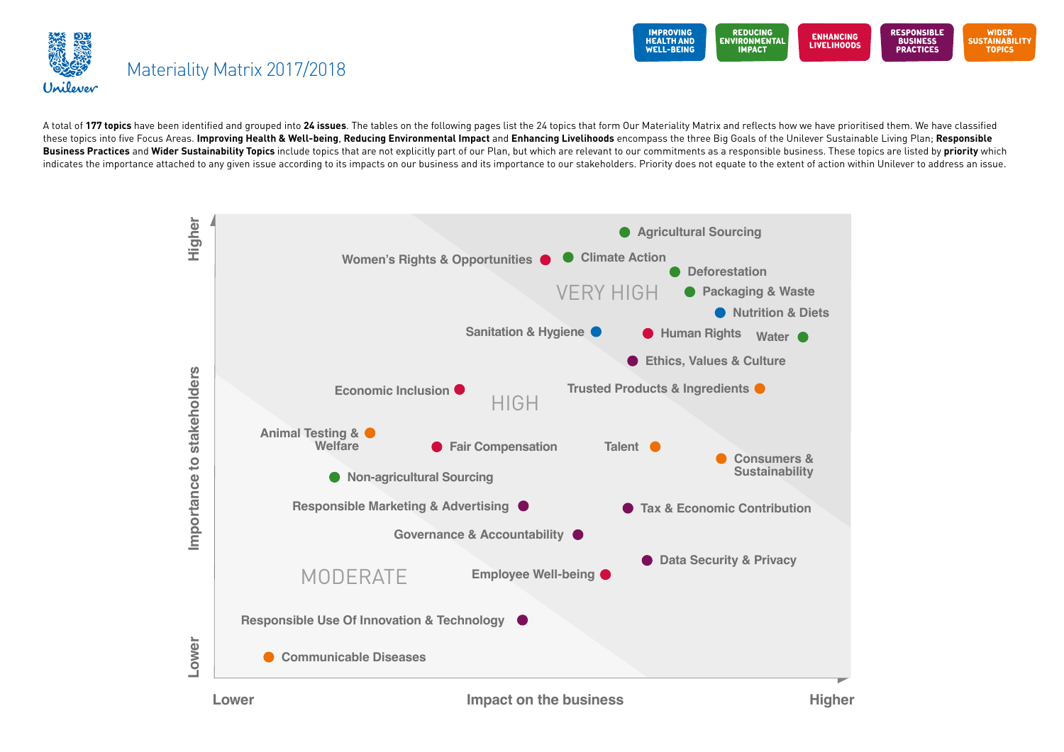



A total of 177 topics have been identified and grouped into 24 issues. The tables on the following pages list the 24 topics that form Our Materiality Matrix and reflects how we have prioritised them. We have classified these topics into five Focus Areas. Improving Health & Well-being, Reducing Environmental Impact and Enhancing Livelihoods encompass the three Big Goals of the Unilever Sustainable Living Plan; Responsible Business Practices and Wider Sustainability Topics include topics that are not explicitly part of our Plan, but which are relevant to our commitments as a responsible business. These topics are listed by priority which indicates the importance attached to any given issue according to its impacts on our business and its importance to our stakeholders. Priority does not equate to the extent of action within Unilever to address an issue.

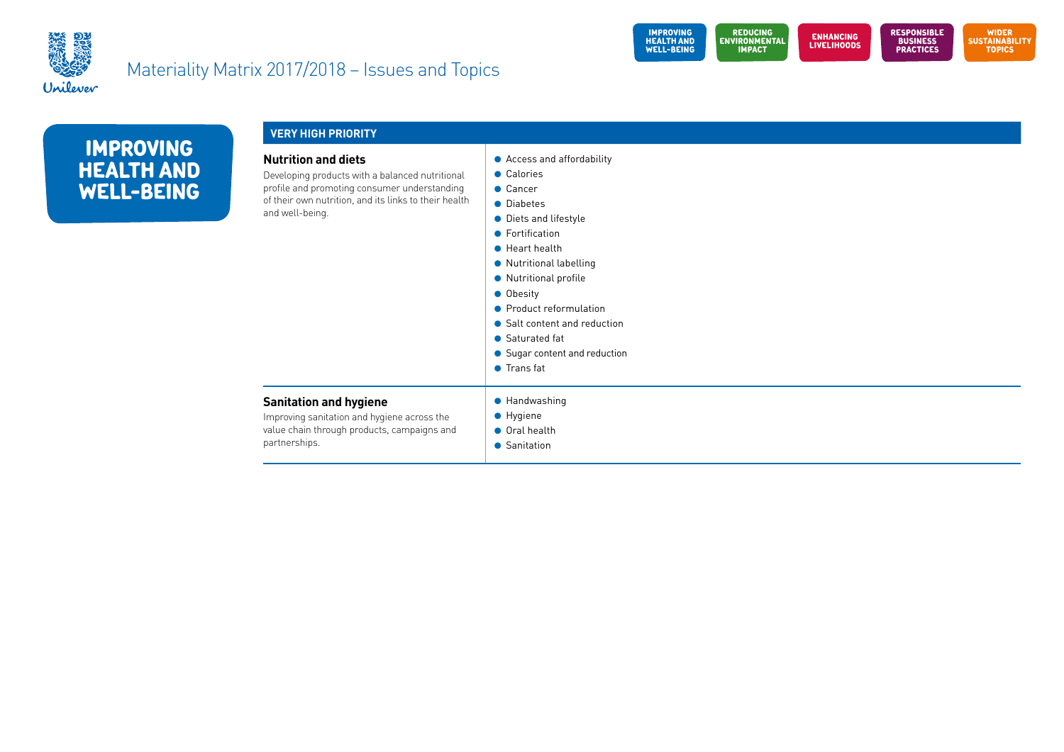



| <b>IMPROVING</b>  |
|-------------------|
| <b>HEALTH AND</b> |
| <b>WELL-BEING</b> |

| <b>VERY HIGH PRIORITY</b>                                                                                                                                                                                 |                                                                                                                                                                                                                                                                                                                               |  |  |
|-----------------------------------------------------------------------------------------------------------------------------------------------------------------------------------------------------------|-------------------------------------------------------------------------------------------------------------------------------------------------------------------------------------------------------------------------------------------------------------------------------------------------------------------------------|--|--|
| <b>Nutrition and diets</b><br>Developing products with a balanced nutritional<br>profile and promoting consumer understanding<br>of their own nutrition, and its links to their health<br>and well-being. | • Access and affordability<br>• Calories<br>$\bullet$ Cancer<br>• Diabetes<br>• Diets and lifestyle<br>• Fortification<br>• Heart health<br>• Nutritional labelling<br>• Nutritional profile<br><b>Obesity</b><br>• Product reformulation<br>• Salt content and reduction<br>• Saturated fat<br>• Sugar content and reduction |  |  |

### **Sanitation and hygiene**

Improving sanitation and hygiene across the value chain through products, campaigns and partnerships.

- **e** Handwashing
- $\bullet$  Hygiene
- **Oral health**

**I** Trans fat

**C** Sanitation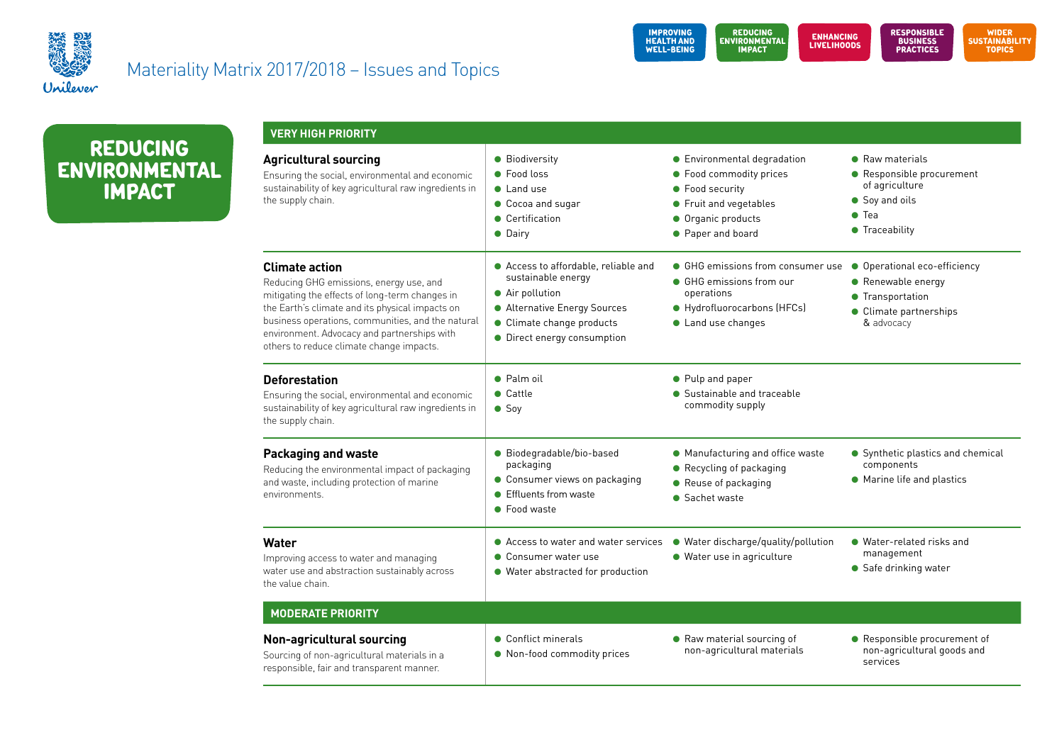



**REDUCING ENVIRONMENTAL IMPACT**

| <b>VERY HIGH PRIORITY</b>                                                                                                                                                                                                                                                                                             |                                                                                                                                                                           |                                                                                                                                                |                                                                                                                   |
|-----------------------------------------------------------------------------------------------------------------------------------------------------------------------------------------------------------------------------------------------------------------------------------------------------------------------|---------------------------------------------------------------------------------------------------------------------------------------------------------------------------|------------------------------------------------------------------------------------------------------------------------------------------------|-------------------------------------------------------------------------------------------------------------------|
| <b>Agricultural sourcing</b><br>Ensuring the social, environmental and economic<br>sustainability of key agricultural raw ingredients in<br>the supply chain.                                                                                                                                                         | • Biodiversity<br>• Food loss<br>• Land use<br>Cocoa and sugar<br>• Certification<br>• Dairy                                                                              | • Environmental degradation<br>• Food commodity prices<br>• Food security<br>• Fruit and vegetables<br>• Organic products<br>• Paper and board | • Raw materials<br>• Responsible procurement<br>of agriculture<br>Soy and oils<br>$\bullet$ Tea<br>• Traceability |
| <b>Climate action</b><br>Reducing GHG emissions, energy use, and<br>mitigating the effects of long-term changes in<br>the Earth's climate and its physical impacts on<br>business operations, communities, and the natural<br>environment. Advocacy and partnerships with<br>others to reduce climate change impacts. | ● Access to affordable, reliable and<br>sustainable energy<br>• Air pollution<br>• Alternative Energy Sources<br>• Climate change products<br>• Direct energy consumption | • GHG emissions from consumer use<br>• GHG emissions from our<br>operations<br>● Hydrofluorocarbons (HFCs)<br>• Land use changes               | • Operational eco-efficiency<br>• Renewable energy<br>• Transportation<br>• Climate partnerships<br>& advocacy    |
| <b>Deforestation</b><br>Ensuring the social, environmental and economic<br>sustainability of key agricultural raw ingredients in<br>the supply chain.                                                                                                                                                                 | • Palm oil<br>$\bullet$ Cattle<br>$\bullet$ Soy                                                                                                                           | • Pulp and paper<br>• Sustainable and traceable<br>commodity supply                                                                            |                                                                                                                   |
| <b>Packaging and waste</b><br>Reducing the environmental impact of packaging<br>and waste, including protection of marine<br>environments.                                                                                                                                                                            | · Biodegradable/bio-based<br>packaging<br>• Consumer views on packaging<br>• Effluents from waste<br>• Food waste                                                         | • Manufacturing and office waste<br>• Recycling of packaging<br>• Reuse of packaging<br>• Sachet waste                                         | • Synthetic plastics and chemical<br>components<br>• Marine life and plastics                                     |
| Water<br>Improving access to water and managing<br>water use and abstraction sustainably across<br>the value chain.                                                                                                                                                                                                   | ● Access to water and water services<br>• Consumer water use<br>• Water abstracted for production                                                                         | • Water discharge/quality/pollution<br>· Water use in agriculture                                                                              | • Water-related risks and<br>management<br>• Safe drinking water                                                  |
| <b>MODERATE PRIORITY</b>                                                                                                                                                                                                                                                                                              |                                                                                                                                                                           |                                                                                                                                                |                                                                                                                   |
| <b>Non-agricultural sourcing</b><br>Sourcing of non-agricultural materials in a<br>responsible, fair and transparent manner.                                                                                                                                                                                          | • Conflict minerals<br>• Non-food commodity prices                                                                                                                        | • Raw material sourcing of<br>non-agricultural materials                                                                                       | • Responsible procurement of<br>non-agricultural goods and<br>services                                            |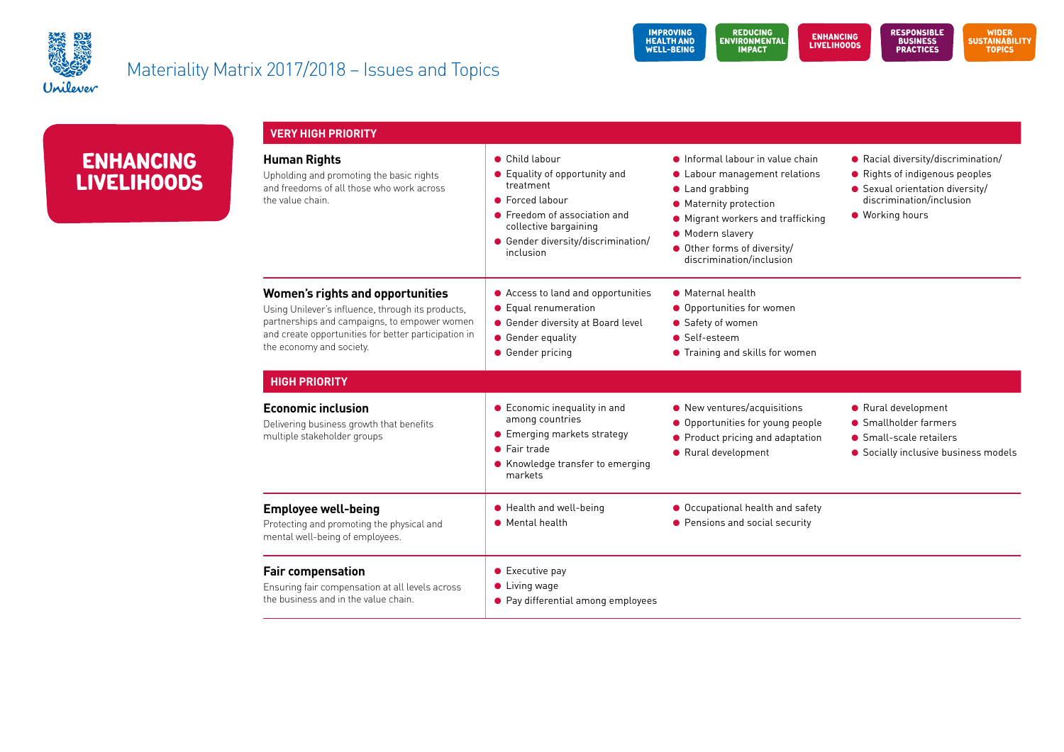



| <b>ENHANCING</b>   |
|--------------------|
| <b>LIVELIHOODS</b> |

| <b>VERY HIGH PRIORITY</b>                                                                                                                                                                                                        |                                                                                                                                                                                             |                                                                                                                                                                                                                                  |                                                                                                                                                        |
|----------------------------------------------------------------------------------------------------------------------------------------------------------------------------------------------------------------------------------|---------------------------------------------------------------------------------------------------------------------------------------------------------------------------------------------|----------------------------------------------------------------------------------------------------------------------------------------------------------------------------------------------------------------------------------|--------------------------------------------------------------------------------------------------------------------------------------------------------|
| <b>Human Rights</b><br>Upholding and promoting the basic rights<br>and freedoms of all those who work across<br>the value chain.                                                                                                 | • Child labour<br>• Equality of opportunity and<br>treatment<br>• Forced labour<br>• Freedom of association and<br>collective bargaining<br>• Gender diversity/discrimination/<br>inclusion | • Informal labour in value chain<br>• Labour management relations<br>• Land grabbing<br>• Maternity protection<br>• Migrant workers and trafficking<br>• Modern slavery<br>Other forms of diversity/<br>discrimination/inclusion | • Racial diversity/discrimination/<br>• Rights of indigenous peoples<br>• Sexual orientation diversity/<br>discrimination/inclusion<br>● Working hours |
| <b>Women's rights and opportunities</b><br>Using Unilever's influence, through its products,<br>partnerships and campaigns, to empower women<br>and create opportunities for better participation in<br>the economy and society. | ● Access to land and opportunities<br>• Equal renumeration<br>● Gender diversity at Board level<br>• Gender equality<br>• Gender pricing                                                    | • Maternal health<br>● Opportunities for women<br>• Safety of women<br>• Self-esteem<br>● Training and skills for women                                                                                                          |                                                                                                                                                        |
| <b>HIGH PRIORITY</b>                                                                                                                                                                                                             |                                                                                                                                                                                             |                                                                                                                                                                                                                                  |                                                                                                                                                        |
| <b>Economic inclusion</b><br>Delivering business growth that benefits<br>multiple stakeholder groups                                                                                                                             | • Economic inequality in and<br>among countries<br>• Emerging markets strategy<br>$\bullet$ Fair trade<br>• Knowledge transfer to emerging<br>markets                                       | • New ventures/acquisitions<br>• Opportunities for young people<br>• Product pricing and adaptation<br>● Rural development                                                                                                       | ● Rural development<br>• Smallholder farmers<br>• Small-scale retailers<br>• Socially inclusive business models                                        |
| <b>Employee well-being</b><br>Protecting and promoting the physical and<br>mental well-being of employees.                                                                                                                       | ● Health and well-being<br>• Mental health                                                                                                                                                  | ● Occupational health and safety<br>● Pensions and social security                                                                                                                                                               |                                                                                                                                                        |
| <b>Fair compensation</b><br>Ensuring fair compensation at all levels across<br>the business and in the value chain.                                                                                                              | $\bullet$ Executive pay<br>$\bullet$ Living wage<br>• Pay differential among employees                                                                                                      |                                                                                                                                                                                                                                  |                                                                                                                                                        |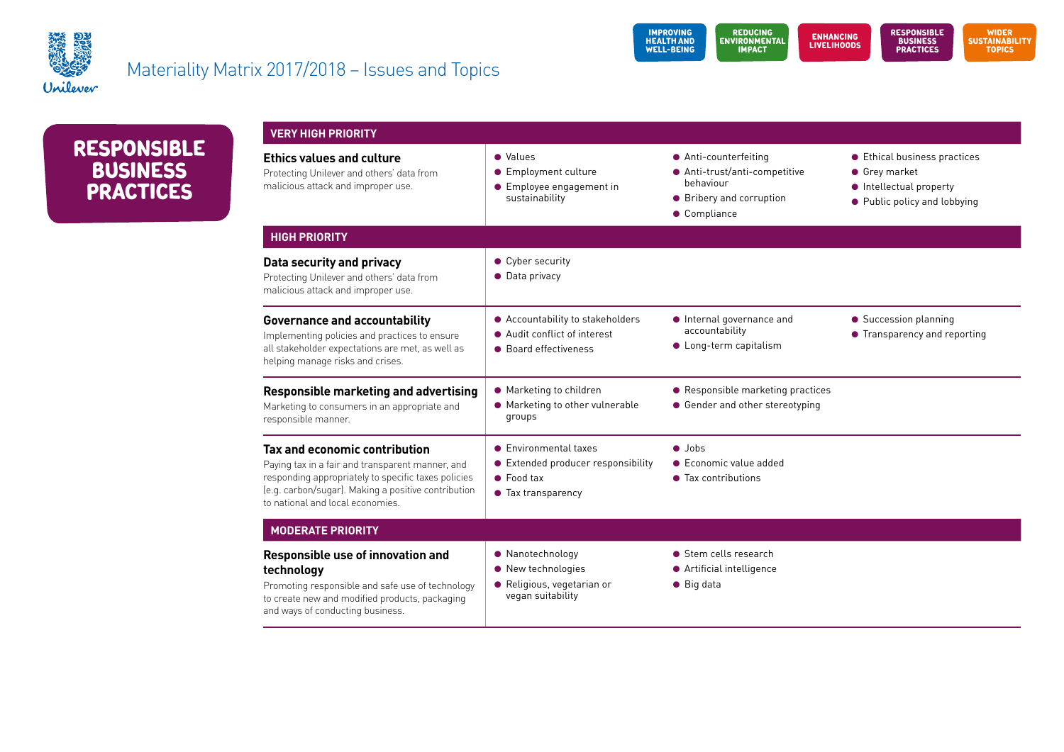



**REsponsiblE business practices**

| <b>VERY HIGH PRIORITY</b>                                                                                                                                                                                                           |                                                                                                       |                                                                                                                 |                                                                                                          |
|-------------------------------------------------------------------------------------------------------------------------------------------------------------------------------------------------------------------------------------|-------------------------------------------------------------------------------------------------------|-----------------------------------------------------------------------------------------------------------------|----------------------------------------------------------------------------------------------------------|
| <b>Ethics values and culture</b><br>Protecting Unilever and others' data from<br>malicious attack and improper use.                                                                                                                 | • Values<br>Employment culture<br>Employee engagement in<br>$\bullet$<br>sustainability               | • Anti-counterfeiting<br>● Anti-trust/anti-competitive<br>behaviour<br>• Bribery and corruption<br>• Compliance | ● Ethical business practices<br>● Grey market<br>• Intellectual property<br>• Public policy and lobbying |
| <b>HIGH PRIORITY</b>                                                                                                                                                                                                                |                                                                                                       |                                                                                                                 |                                                                                                          |
| Data security and privacy<br>Protecting Unilever and others' data from<br>malicious attack and improper use.                                                                                                                        | • Cyber security<br>• Data privacy                                                                    |                                                                                                                 |                                                                                                          |
| <b>Governance and accountability</b><br>Implementing policies and practices to ensure<br>all stakeholder expectations are met, as well as<br>helping manage risks and crises.                                                       | • Accountability to stakeholders<br>• Audit conflict of interest<br>• Board effectiveness             | • Internal governance and<br>accountability<br>• Long-term capitalism                                           | • Succession planning<br>• Transparency and reporting                                                    |
| <b>Responsible marketing and advertising</b><br>Marketing to consumers in an appropriate and<br>responsible manner.                                                                                                                 | • Marketing to children<br>• Marketing to other vulnerable<br>groups                                  | • Responsible marketing practices<br>● Gender and other stereotyping                                            |                                                                                                          |
| Tax and economic contribution<br>Paying tax in a fair and transparent manner, and<br>responding appropriately to specific taxes policies<br>(e.g. carbon/sugar). Making a positive contribution<br>to national and local economies. | • Environmental taxes<br>Extended producer responsibility<br>$\bullet$ Food tax<br>• Tax transparency | $\bullet$ Jobs<br>• Economic value added<br>• Tax contributions                                                 |                                                                                                          |
| <b>MODERATE PRIORITY</b>                                                                                                                                                                                                            |                                                                                                       |                                                                                                                 |                                                                                                          |
| Responsible use of innovation and<br>technology<br>Promoting responsible and safe use of technology<br>to create new and modified products, packaging<br>and ways of conducting business.                                           | • Nanotechnology<br>• New technologies<br>· Religious, vegetarian or<br>vegan suitability             | • Stem cells research<br>• Artificial intelligence<br>$\bullet$ Big data                                        |                                                                                                          |